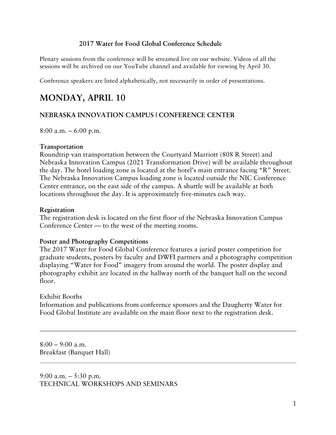### **2017 Water for Food Global Conference Schedule**

Plenary sessions from the conference will be streamed live on our website. Videos of all the sessions will be archived on our YouTube channel and available for viewing by April 30.

Conference speakers are listed alphabetically, not necessarily in order of presentations.

# **MONDAY, APRIL 10**

### **NEBRASKA INNOVATION CAMPUS | CONFERENCE CENTER**

8:00 a.m. – 6:00 p.m.

#### **Transportation**

Roundtrip van transportation between the Courtyard Marriott (808 R Street) and Nebraska Innovation Campus (2021 Transformation Drive) will be available throughout the day. The hotel loading zone is located at the hotel's main entrance facing "R" Street. The Nebraska Innovation Campus loading zone is located outside the NIC Conference Center entrance, on the east side of the campus. A shuttle will be available at both locations throughout the day. It is approximately five-minutes each way.

#### **Registration**

The registration desk is located on the first floor of the Nebraska Innovation Campus Conference Center — to the west of the meeting rooms.

### **Poster and Photography Competitions**

The 2017 Water for Food Global Conference features a juried poster competition for graduate students, posters by faculty and DWFI partners and a photography competition displaying "Water for Food" imagery from around the world. The poster display and photography exhibit are located in the hallway north of the banquet hall on the second floor.

### Exhibit Booths

Information and publications from conference sponsors and the Daugherty Water for Food Global Institute are available on the main floor next to the registration desk.

 $8:00 - 9:00$  a.m. Breakfast (Banquet Hall)

9:00 a.m. – 5:30 p.m. TECHNICAL WORKSHOPS AND SEMINARS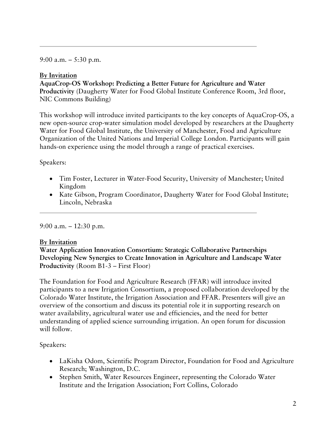9:00 a.m. – 5:30 p.m.

### **By Invitation**

**AquaCrop-OS Workshop: Predicting a Better Future for Agriculture and Water Productivity** (Daugherty Water for Food Global Institute Conference Room, 3rd floor, NIC Commons Building)

This workshop will introduce invited participants to the key concepts of AquaCrop-OS, a new open-source crop-water simulation model developed by researchers at the Daugherty Water for Food Global Institute, the University of Manchester, Food and Agriculture Organization of the United Nations and Imperial College London. Participants will gain hands-on experience using the model through a range of practical exercises.

### Speakers:

- Tim Foster, Lecturer in Water-Food Security, University of Manchester; United Kingdom
- Kate Gibson, Program Coordinator, Daugherty Water for Food Global Institute; Lincoln, Nebraska

### 9:00 a.m. – 12:30 p.m.

### **By Invitation**

**Water Application Innovation Consortium: Strategic Collaborative Partnerships Developing New Synergies to Create Innovation in Agriculture and Landscape Water Productivity** (Room B1-3 – First Floor)

The Foundation for Food and Agriculture Research (FFAR) will introduce invited participants to a new Irrigation Consortium, a proposed collaboration developed by the Colorado Water Institute, the Irrigation Association and FFAR. Presenters will give an overview of the consortium and discuss its potential role it in supporting research on water availability, agricultural water use and efficiencies, and the need for better understanding of applied science surrounding irrigation. An open forum for discussion will follow.

# Speakers:

- LaKisha Odom, Scientific Program Director, Foundation for Food and Agriculture Research; Washington, D.C.
- Stephen Smith, Water Resources Engineer, representing the Colorado Water Institute and the Irrigation Association; Fort Collins, Colorado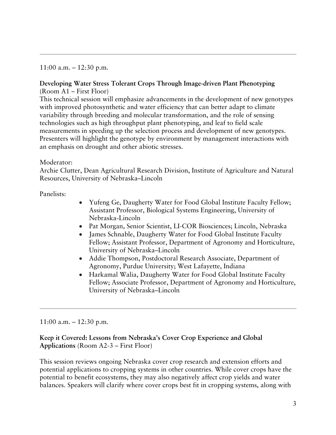11:00 a.m. – 12:30 p.m.

### **Developing Water Stress Tolerant Crops Through Image-driven Plant Phenotyping** (Room A1 – First Floor)

This technical session will emphasize advancements in the development of new genotypes with improved photosynthetic and water efficiency that can better adapt to climate variability through breeding and molecular transformation, and the role of sensing technologies such as high throughput plant phenotyping, and leaf to field scale measurements in speeding up the selection process and development of new genotypes. Presenters will highlight the genotype by environment by management interactions with an emphasis on drought and other abiotic stresses.

### Moderator:

Archie Clutter, Dean Agricultural Research Division, Institute of Agriculture and Natural Resources, University of Nebraska–Lincoln

Panelists:

- Yufeng Ge, Daugherty Water for Food Global Institute Faculty Fellow; Assistant Professor, Biological Systems Engineering, University of Nebraska–Lincoln
- Pat Morgan, Senior Scientist, LI-COR Biosciences; Lincoln, Nebraska
- James Schnable, Daugherty Water for Food Global Institute Faculty Fellow; Assistant Professor, Department of Agronomy and Horticulture, University of Nebraska–Lincoln
- Addie Thompson, Postdoctoral Research Associate, Department of Agronomy, Purdue University; West Lafayette, Indiana
- Harkamal Walia, Daugherty Water for Food Global Institute Faculty Fellow; Associate Professor, Department of Agronomy and Horticulture, University of Nebraska–Lincoln

### 11:00 a.m. – 12:30 p.m.

### **Keep it Covered: Lessons from Nebraska's Cover Crop Experience and Global Applications** (Room A2-3 – First Floor)

This session reviews ongoing Nebraska cover crop research and extension efforts and potential applications to cropping systems in other countries. While cover crops have the potential to benefit ecosystems, they may also negatively affect crop yields and water balances. Speakers will clarify where cover crops best fit in cropping systems, along with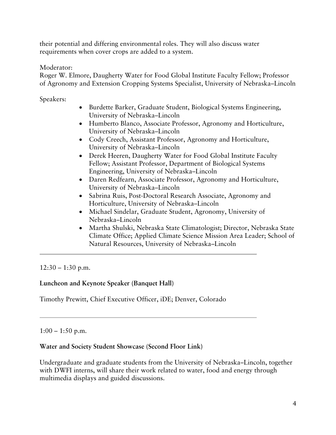their potential and differing environmental roles. They will also discuss water requirements when cover crops are added to a system.

### Moderator:

Roger W. Elmore, Daugherty Water for Food Global Institute Faculty Fellow; Professor of Agronomy and Extension Cropping Systems Specialist, University of Nebraska–Lincoln

Speakers:

- Burdette Barker, Graduate Student, Biological Systems Engineering, University of Nebraska–Lincoln
- Humberto Blanco, Associate Professor, Agronomy and Horticulture, University of Nebraska–Lincoln
- Cody Creech, Assistant Professor, Agronomy and Horticulture, University of Nebraska–Lincoln
- Derek Heeren, Daugherty Water for Food Global Institute Faculty Fellow; Assistant Professor, Department of Biological Systems Engineering, University of Nebraska–Lincoln
- Daren Redfearn, Associate Professor, Agronomy and Horticulture, University of Nebraska–Lincoln
- Sabrina Ruis, Post-Doctoral Research Associate, Agronomy and Horticulture, University of Nebraska–Lincoln
- Michael Sindelar, Graduate Student, Agronomy, University of Nebraska–Lincoln
- Martha Shulski, Nebraska State Climatologist; Director, Nebraska State Climate Office; Applied Climate Science Mission Area Leader; School of Natural Resources, University of Nebraska–Lincoln

 $12:30 - 1:30$  p.m.

### **Luncheon and Keynote Speaker (Banquet Hall)**

Timothy Prewitt, Chief Executive Officer, iDE; Denver, Colorado

 $1:00 - 1:50$  p.m.

### **Water and Society Student Showcase (Second Floor Link)**

Undergraduate and graduate students from the University of Nebraska–Lincoln, together with DWFI interns, will share their work related to water, food and energy through multimedia displays and guided discussions.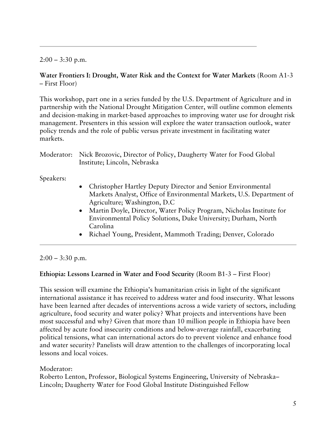$2:00 - 3:30$  p.m.

### **Water Frontiers I: Drought, Water Risk and the Context for Water Markets** (Room A1-3 – First Floor)

This workshop, part one in a series funded by the U.S. Department of Agriculture and in partnership with the National Drought Mitigation Center, will outline common elements and decision-making in market-based approaches to improving water use for drought risk management. Presenters in this session will explore the water transaction outlook, water policy trends and the role of public versus private investment in facilitating water markets.

| Moderator: Nick Brozovic, Director of Policy, Daugherty Water for Food Global |
|-------------------------------------------------------------------------------|
| Institute; Lincoln, Nebraska                                                  |

Speakers:

- Christopher Hartley Deputy Director and Senior Environmental Markets Analyst, Office of Environmental Markets, U.S. Department of Agriculture; Washington, D.C
- Martin Doyle, Director, Water Policy Program, Nicholas Institute for Environmental Policy Solutions, Duke University; Durham, North Carolina
- Richael Young, President, Mammoth Trading; Denver, Colorado

### $2:00 - 3:30$  p.m.

### **Ethiopia: Lessons Learned in Water and Food Security (**Room B1-3 – First Floor)

This session will examine the Ethiopia's humanitarian crisis in light of the significant international assistance it has received to address water and food insecurity. What lessons have been learned after decades of interventions across a wide variety of sectors, including agriculture, food security and water policy? What projects and interventions have been most successful and why? Given that more than 10 million people in Ethiopia have been affected by acute food insecurity conditions and below-average rainfall, exacerbating political tensions, what can international actors do to prevent violence and enhance food and water security? Panelists will draw attention to the challenges of incorporating local lessons and local voices.

### Moderator:

Roberto Lenton, Professor, Biological Systems Engineering, University of Nebraska– Lincoln; Daugherty Water for Food Global Institute Distinguished Fellow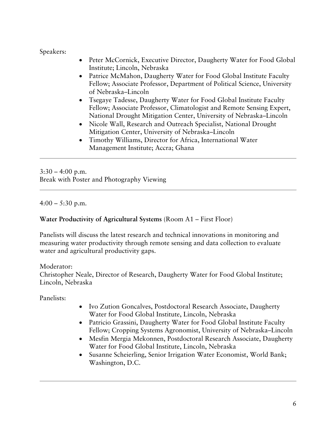### Speakers:

- Peter McCornick, Executive Director, Daugherty Water for Food Global Institute; Lincoln, Nebraska
- Patrice McMahon, Daugherty Water for Food Global Institute Faculty Fellow; Associate Professor, Department of Political Science, University of Nebraska–Lincoln
- Tsegaye Tadesse, Daugherty Water for Food Global Institute Faculty Fellow; Associate Professor, Climatologist and Remote Sensing Expert, National Drought Mitigation Center, University of Nebraska–Lincoln
- Nicole Wall, Research and Outreach Specialist, National Drought Mitigation Center, University of Nebraska–Lincoln
- Timothy Williams, Director for Africa, International Water Management Institute; Accra; Ghana

 $3:30 - 4:00$  p.m. Break with Poster and Photography Viewing

 $4:00 - 5:30$  p.m.

# **Water Productivity of Agricultural Systems** (Room A1 – First Floor)

Panelists will discuss the latest research and technical innovations in monitoring and measuring water productivity through remote sensing and data collection to evaluate water and agricultural productivity gaps.

### Moderator:

Christopher Neale, Director of Research, Daugherty Water for Food Global Institute; Lincoln, Nebraska

Panelists:

- Ivo Zution Goncalves, Postdoctoral Research Associate, Daugherty Water for Food Global Institute, Lincoln, Nebraska
- Patricio Grassini, Daugherty Water for Food Global Institute Faculty Fellow; Cropping Systems Agronomist, University of Nebraska–Lincoln
- Mesfin Mergia Mekonnen, Postdoctoral Research Associate, Daugherty Water for Food Global Institute, Lincoln, Nebraska
- Susanne Scheierling, Senior Irrigation Water Economist, World Bank; Washington, D.C.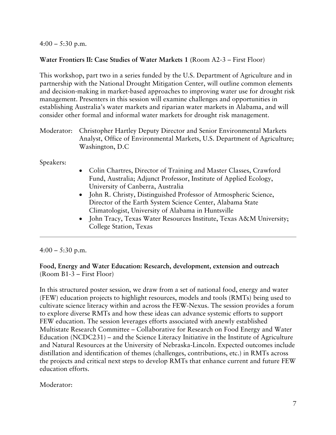$4:00 - 5:30$  p.m.

### **Water Frontiers II: Case Studies of Water Markets 1 (**Room A2-3 – First Floor)

This workshop, part two in a series funded by the U.S. Department of Agriculture and in partnership with the National Drought Mitigation Center, will outline common elements and decision-making in market-based approaches to improving water use for drought risk management. Presenters in this session will examine challenges and opportunities in establishing Australia's water markets and riparian water markets in Alabama, and will consider other formal and informal water markets for drought risk management.

Moderator: Christopher Hartley Deputy Director and Senior Environmental Markets Analyst, Office of Environmental Markets, U.S. Department of Agriculture; Washington, D.C

Speakers:

- Colin Chartres, Director of Training and Master Classes, Crawford Fund, Australia; Adjunct Professor, Institute of Applied Ecology, University of Canberra, Australia
- John R. Christy, Distinguished Professor of Atmospheric Science, Director of the Earth System Science Center, Alabama State Climatologist, University of Alabama in Huntsville
- John Tracy, Texas Water Resources Institute, Texas A&M University; College Station, Texas

### $4:00 - 5:30$  p.m.

### **Food, Energy and Water Education: Research, development, extension and outreach** (Room B1-3 – First Floor)

In this structured poster session, we draw from a set of national food, energy and water (FEW) education projects to highlight resources, models and tools (RMTs) being used to cultivate science literacy within and across the FEW-Nexus. The session provides a forum to explore diverse RMTs and how these ideas can advance systemic efforts to support FEW education. The session leverages efforts associated with anewly established Multistate Research Committee – Collaborative for Research on Food Energy and Water Education (NCDC231) – and the Science Literacy Initiative in the Institute of Agriculture and Natural Resources at the University of Nebraska-Lincoln. Expected outcomes include distillation and identification of themes (challenges, contributions, etc.) in RMTs across the projects and critical next steps to develop RMTs that enhance current and future FEW education efforts.

### Moderator: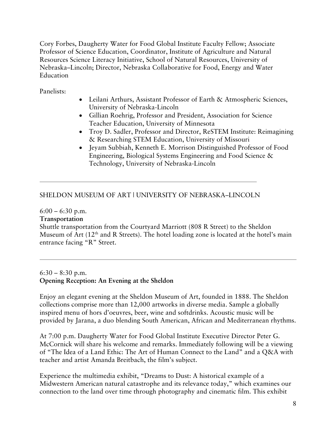Cory Forbes, Daugherty Water for Food Global Institute Faculty Fellow; Associate Professor of Science Education, Coordinator, Institute of Agriculture and Natural Resources Science Literacy Initiative, School of Natural Resources, University of Nebraska–Lincoln; Director, Nebraska Collaborative for Food, Energy and Water Education

Panelists:

- Leilani Arthurs, Assistant Professor of Earth & Atmospheric Sciences, University of Nebraska-Lincoln
- Gillian Roehrig, Professor and President, Association for Science Teacher Education, University of Minnesota
- Troy D. Sadler, Professor and Director, ReSTEM Institute: Reimagining & Researching STEM Education, University of Missouri
- Jeyam Subbiah, Kenneth E. Morrison Distinguished Professor of Food Engineering, Biological Systems Engineering and Food Science & Technology, University of Nebraska-Lincoln

# SHELDON MUSEUM OF ART | UNIVERSITY OF NEBRASKA–LINCOLN

 $6:00 - 6:30$  p.m.

### **Transportation**

Shuttle transportation from the Courtyard Marriott (808 R Street) to the Sheldon Museum of Art  $(12<sup>th</sup>$  and R Streets). The hotel loading zone is located at the hotel's main entrance facing "R" Street.

 $6:30 - 8:30$  p.m. **Opening Reception: An Evening at the Sheldon**

Enjoy an elegant evening at the Sheldon Museum of Art, founded in 1888. The Sheldon collections comprise more than 12,000 artworks in diverse media. Sample a globally inspired menu of hors d'oeuvres, beer, wine and softdrinks. Acoustic music will be provided by Jarana, a duo blending South American, African and Mediterranean rhythms.

At 7:00 p.m. Daugherty Water for Food Global Institute Executive Director Peter G. McCornick will share his welcome and remarks. Immediately following will be a viewing of "The Idea of a Land Ethic: The Art of Human Connect to the Land" and a Q&A with teacher and artist Amanda Breitbach, the film's subject.

Experience the multimedia exhibit, "Dreams to Dust: A historical example of a Midwestern American natural catastrophe and its relevance today," which examines our connection to the land over time through photography and cinematic film. This exhibit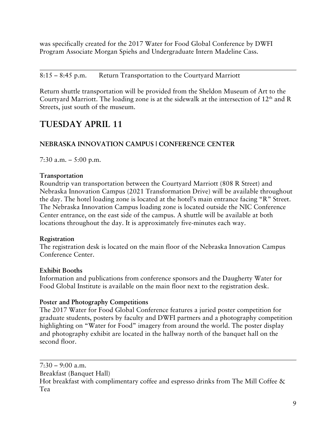was specifically created for the 2017 Water for Food Global Conference by DWFI Program Associate Morgan Spiehs and Undergraduate Intern Madeline Cass.

# 8:15 – 8:45 p.m. Return Transportation to the Courtyard Marriott

Return shuttle transportation will be provided from the Sheldon Museum of Art to the Courtyard Marriott. The loading zone is at the sidewalk at the intersection of  $12<sup>th</sup>$  and R Streets, just south of the museum.

# **TUESDAY APRIL 11**

# **NEBRASKA INNOVATION CAMPUS | CONFERENCE CENTER**

7:30 a.m. – 5:00 p.m.

### **Transportation**

Roundtrip van transportation between the Courtyard Marriott (808 R Street) and Nebraska Innovation Campus (2021 Transformation Drive) will be available throughout the day. The hotel loading zone is located at the hotel's main entrance facing "R" Street. The Nebraska Innovation Campus loading zone is located outside the NIC Conference Center entrance, on the east side of the campus. A shuttle will be available at both locations throughout the day. It is approximately five-minutes each way.

### **Registration**

The registration desk is located on the main floor of the Nebraska Innovation Campus Conference Center.

### **Exhibit Booths**

Information and publications from conference sponsors and the Daugherty Water for Food Global Institute is available on the main floor next to the registration desk.

### **Poster and Photography Competitions**

The 2017 Water for Food Global Conference features a juried poster competition for graduate students, posters by faculty and DWFI partners and a photography competition highlighting on "Water for Food" imagery from around the world. The poster display and photography exhibit are located in the hallway north of the banquet hall on the second floor.

 $7:30 - 9:00$  a.m. Breakfast (Banquet Hall) Hot breakfast with complimentary coffee and espresso drinks from The Mill Coffee & Tea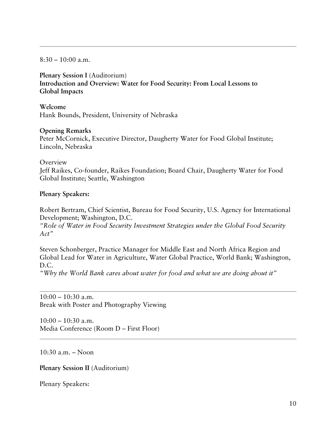$8:30 - 10:00$  a.m.

**Plenary Session I** (Auditorium) **Introduction and Overview: Water for Food Security: From Local Lessons to Global Impacts**

**Welcome** Hank Bounds, President, University of Nebraska

#### **Opening Remarks**

Peter McCornick, Executive Director, Daugherty Water for Food Global Institute; Lincoln, Nebraska

#### **Overview**

Jeff Raikes, Co-founder, Raikes Foundation; Board Chair, Daugherty Water for Food Global Institute; Seattle, Washington

#### **Plenary Speakers:**

Robert Bertram, Chief Scientist, Bureau for Food Security, U.S. Agency for International Development; Washington, D.C.

*"Role of Water in Food Security Investment Strategies under the Global Food Security Act"*

Steven Schonberger, Practice Manager for Middle East and North Africa Region and Global Lead for Water in Agriculture, Water Global Practice, World Bank; Washington, D.C.

*"Why the World Bank cares about water for food and what we are doing about it"*

 $10:00 - 10:30$  a.m. Break with Poster and Photography Viewing

 $10:00 - 10:30$  a.m. Media Conference (Room D – First Floor)

10:30 a.m. – Noon

**Plenary Session II** (Auditorium)

Plenary Speakers: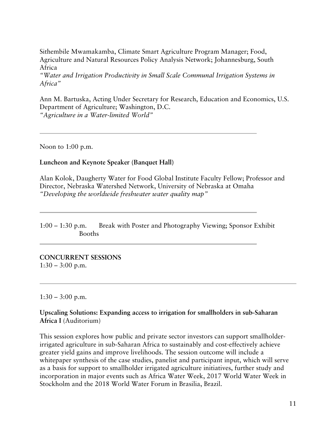Sithembile Mwamakamba, Climate Smart Agriculture Program Manager; Food, Agriculture and Natural Resources Policy Analysis Network; Johannesburg, South Africa

*"Water and Irrigation Productivity in Small Scale Communal Irrigation Systems in Africa"*

Ann M. Bartuska, Acting Under Secretary for Research, Education and Economics, U.S. Department of Agriculture; Washington, D.C. *"Agriculture in a Water-limited World"*

Noon to 1:00 p.m.

### **Luncheon and Keynote Speaker (Banquet Hall)**

Alan Kolok, Daugherty Water for Food Global Institute Faculty Fellow; Professor and Director, Nebraska Watershed Network, University of Nebraska at Omaha *"Developing the worldwide freshwater water quality map"*

1:00 – 1:30 p.m. Break with Poster and Photography Viewing; Sponsor Exhibit Booths

**CONCURRENT SESSIONS**  $1:30 - 3:00$  p.m.

 $1:30 - 3:00$  p.m.

**Upscaling Solutions: Expanding access to irrigation for smallholders in sub-Saharan Africa I** (Auditorium)

This session explores how public and private sector investors can support smallholderirrigated agriculture in sub-Saharan Africa to sustainably and cost-effectively achieve greater yield gains and improve livelihoods. The session outcome will include a whitepaper synthesis of the case studies, panelist and participant input, which will serve as a basis for support to smallholder irrigated agriculture initiatives, further study and incorporation in major events such as Africa Water Week, 2017 World Water Week in Stockholm and the 2018 World Water Forum in Brasilia, Brazil.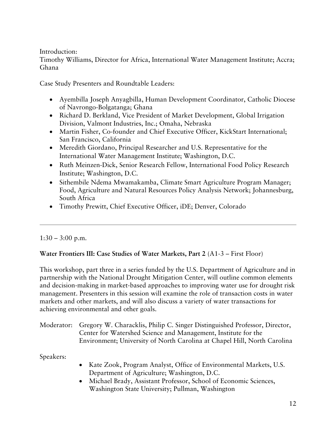Introduction:

Timothy Williams, Director for Africa, International Water Management Institute; Accra; Ghana

Case Study Presenters and Roundtable Leaders:

- Ayembilla Joseph Anyagbilla, Human Development Coordinator, Catholic Diocese of Navrongo-Bolgatanga; Ghana
- Richard D. Berkland, Vice President of Market Development, Global Irrigation Division, Valmont Industries, Inc.; Omaha, Nebraska
- Martin Fisher, Co-founder and Chief Executive Officer, KickStart International; San Francisco, California
- Meredith Giordano, Principal Researcher and U.S. Representative for the International Water Management Institute; Washington, D.C.
- Ruth Meinzen-Dick, Senior Research Fellow, International Food Policy Research Institute; Washington, D.C.
- Sithembile Ndema Mwamakamba, Climate Smart Agriculture Program Manager; Food, Agriculture and Natural Resources Policy Analysis Network; Johannesburg, South Africa
- Timothy Prewitt, Chief Executive Officer, iDE; Denver, Colorado

 $1:30 - 3:00$  p.m.

### **Water Frontiers III: Case Studies of Water Markets, Part 2** (A1-3 – First Floor)

This workshop, part three in a series funded by the U.S. Department of Agriculture and in partnership with the National Drought Mitigation Center, will outline common elements and decision-making in market-based approaches to improving water use for drought risk management. Presenters in this session will examine the role of transaction costs in water markets and other markets, and will also discuss a variety of water transactions for achieving environmental and other goals.

| Moderator: Gregory W. Characklis, Philip C. Singer Distinguished Professor, Director, |
|---------------------------------------------------------------------------------------|
| Center for Watershed Science and Management, Institute for the                        |
| Environment; University of North Carolina at Chapel Hill, North Carolina              |

Speakers:

- Kate Zook, Program Analyst, Office of Environmental Markets, U.S. Department of Agriculture; Washington, D.C.
- Michael Brady, Assistant Professor, School of Economic Sciences, Washington State University; Pullman, Washington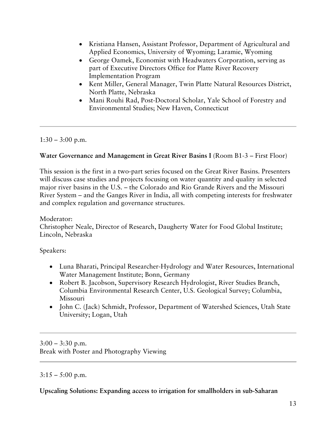- Kristiana Hansen, Assistant Professor, Department of Agricultural and Applied Economics, University of Wyoming; Laramie, Wyoming
- George Oamek, Economist with Headwaters Corporation, serving as part of Executive Directors Office for Platte River Recovery Implementation Program
- Kent Miller, General Manager, Twin Platte Natural Resources District, North Platte, Nebraska
- Mani Rouhi Rad, Post-Doctoral Scholar, Yale School of Forestry and Environmental Studies; New Haven, Connecticut

 $1:30 - 3:00$  p.m.

# **Water Governance and Management in Great River Basins I** (Room B1-3 – First Floor)

This session is the first in a two-part series focused on the Great River Basins. Presenters will discuss case studies and projects focusing on water quantity and quality in selected major river basins in the U.S. – the Colorado and Rio Grande Rivers and the Missouri River System – and the Ganges River in India, all with competing interests for freshwater and complex regulation and governance structures.

### Moderator: Christopher Neale, Director of Research, Daugherty Water for Food Global Institute; Lincoln, Nebraska

Speakers:

- Luna Bharati, Principal Researcher-Hydrology and Water Resources, International Water Management Institute; Bonn, Germany
- Robert B. Jacobson, Supervisory Research Hydrologist, River Studies Branch, Columbia Environmental Research Center, U.S. Geological Survey; Columbia, Missouri
- John C. (Jack) Schmidt, Professor, Department of Watershed Sciences, Utah State University; Logan, Utah

 $3:00 - 3:30$  p.m. Break with Poster and Photography Viewing

### $3:15 - 5:00$  p.m.

### **Upscaling Solutions: Expanding access to irrigation for smallholders in sub-Saharan**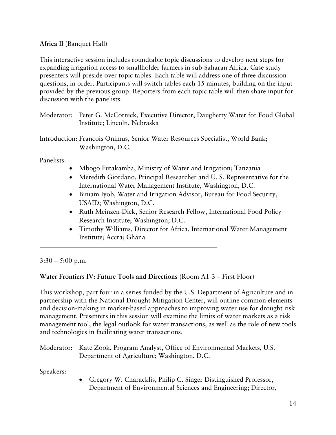### **Africa II** (Banquet Hall)

This interactive session includes roundtable topic discussions to develop next steps for expanding irrigation access to smallholder farmers in sub-Saharan Africa. Case study presenters will preside over topic tables. Each table will address one of three discussion questions, in order. Participants will switch tables each 15 minutes, building on the input provided by the previous group. Reporters from each topic table will then share input for discussion with the panelists.

- Moderator: Peter G. McCornick, Executive Director, Daugherty Water for Food Global Institute; Lincoln, Nebraska
- Introduction: Francois Onimus, Senior Water Resources Specialist, World Bank; Washington, D.C.

Panelists:

- Mbogo Futakamba, Ministry of Water and Irrigation; Tanzania
- Meredith Giordano, Principal Researcher and U.S. Representative for the International Water Management Institute, Washington, D.C.
- Biniam Iyob, Water and Irrigation Advisor, Bureau for Food Security, USAID; Washington, D.C.
- Ruth Meinzen-Dick, Senior Research Fellow, International Food Policy Research Institute; Washington, D.C.
- Timothy Williams, Director for Africa, International Water Management Institute; Accra; Ghana

 $3:30 - 5:00$  p.m.

# **Water Frontiers IV: Future Tools and Directions** (Room A1-3 – First Floor)

This workshop, part four in a series funded by the U.S. Department of Agriculture and in partnership with the National Drought Mitigation Center, will outline common elements and decision-making in market-based approaches to improving water use for drought risk management. Presenters in this session will examine the limits of water markets as a risk management tool, the legal outlook for water transactions, as well as the role of new tools and technologies in facilitating water transactions.

|           | Moderator: Kate Zook, Program Analyst, Office of Environmental Markets, U.S.<br>Department of Agriculture; Washington, D.C. |
|-----------|-----------------------------------------------------------------------------------------------------------------------------|
| Speakers: |                                                                                                                             |
|           | • Gregory W. Characklis, Philip C. Singer Distinguished Professor,                                                          |
|           | Department of Environmental Sciences and Engineering; Director,                                                             |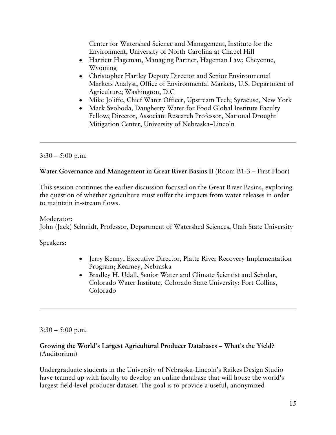Center for Watershed Science and Management, Institute for the Environment, University of North Carolina at Chapel Hill

- Harriett Hageman, Managing Partner, Hageman Law; Cheyenne, Wyoming
- Christopher Hartley Deputy Director and Senior Environmental Markets Analyst, Office of Environmental Markets, U.S. Department of Agriculture; Washington, D.C
- Mike Joliffe, Chief Water Officer, Upstream Tech; Syracuse, New York
- Mark Svoboda, Daugherty Water for Food Global Institute Faculty Fellow; Director, Associate Research Professor, National Drought Mitigation Center, University of Nebraska–Lincoln

# $3:30 - 5:00$  p.m.

### **Water Governance and Management in Great River Basins II** (Room B1-3 – First Floor)

This session continues the earlier discussion focused on the Great River Basins, exploring the question of whether agriculture must suffer the impacts from water releases in order to maintain in-stream flows.

Moderator: John (Jack) Schmidt, Professor, Department of Watershed Sciences, Utah State University

Speakers:

- Jerry Kenny, Executive Director, Platte River Recovery Implementation Program; Kearney, Nebraska
- Bradley H. Udall, Senior Water and Climate Scientist and Scholar, Colorado Water Institute, Colorado State University; Fort Collins, Colorado

 $3:30 - 5:00$  p.m.

### **Growing the World's Largest Agricultural Producer Databases – What's the Yield?** (Auditorium)

Undergraduate students in the University of Nebraska-Lincoln's Raikes Design Studio have teamed up with faculty to develop an online database that will house the world's largest field-level producer dataset. The goal is to provide a useful, anonymized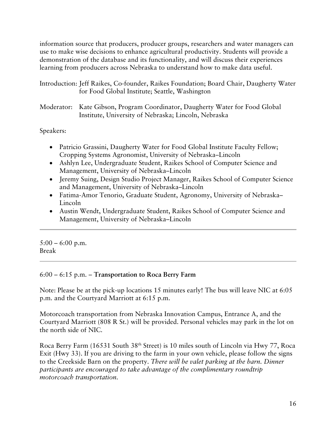information source that producers, producer groups, researchers and water managers can use to make wise decisions to enhance agricultural productivity. Students will provide a demonstration of the database and its functionality, and will discuss their experiences learning from producers across Nebraska to understand how to make data useful.

| Introduction: Jeff Raikes, Co-founder, Raikes Foundation; Board Chair, Daugherty Water |  |
|----------------------------------------------------------------------------------------|--|
| for Food Global Institute; Seattle, Washington                                         |  |

Moderator: Kate Gibson, Program Coordinator, Daugherty Water for Food Global Institute, University of Nebraska; Lincoln, Nebraska

Speakers:

- Patricio Grassini, Daugherty Water for Food Global Institute Faculty Fellow; Cropping Systems Agronomist, University of Nebraska–Lincoln
- Ashlyn Lee, Undergraduate Student, Raikes School of Computer Science and Management, University of Nebraska–Lincoln
- Jeremy Suing, Design Studio Project Manager, Raikes School of Computer Science and Management, University of Nebraska–Lincoln
- Fatima-Amor Tenorio, Graduate Student, Agronomy, University of Nebraska– Lincoln
- Austin Wendt, Undergraduate Student, Raikes School of Computer Science and Management, University of Nebraska–Lincoln

 $5:00 - 6:00$  p.m. Break

### 6:00 – 6:15 p.m. – **Transportation to Roca Berry Farm**

Note: Please be at the pick-up locations 15 minutes early! The bus will leave NIC at 6:05 p.m. and the Courtyard Marriott at 6:15 p.m.

Motorcoach transportation from Nebraska Innovation Campus, Entrance A, and the Courtyard Marriott (808 R St.) will be provided. Personal vehicles may park in the lot on the north side of NIC.

Roca Berry Farm (16531 South 38<sup>th</sup> Street) is 10 miles south of Lincoln via Hwy 77, Roca Exit (Hwy 33). If you are driving to the farm in your own vehicle, please follow the signs to the Creekside Barn on the property. *There will be valet parking at the barn. Dinner participants are encouraged to take advantage of the complimentary roundtrip motorcoach transportation.*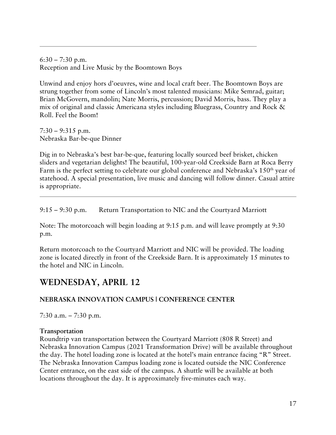$6:30 - 7:30$  p.m. Reception and Live Music by the Boomtown Boys

Unwind and enjoy hors d'oeuvres, wine and local craft beer. The Boomtown Boys are strung together from some of Lincoln's most talented musicians: Mike Semrad, guitar; Brian McGovern, mandolin; Nate Morris, percussion; David Morris, bass. They play a mix of original and classic Americana styles including Bluegrass, Country and Rock & Roll. Feel the Boom!

 $7:30 - 9:315$  p.m. Nebraska Bar-be-que Dinner

Dig in to Nebraska's best bar-be-que, featuring locally sourced beef brisket, chicken sliders and vegetarian delights! The beautiful, 100-year-old Creekside Barn at Roca Berry Farm is the perfect setting to celebrate our global conference and Nebraska's 150<sup>th</sup> year of statehood. A special presentation, live music and dancing will follow dinner. Casual attire is appropriate.

9:15 – 9:30 p.m. Return Transportation to NIC and the Courtyard Marriott

Note: The motorcoach will begin loading at 9:15 p.m. and will leave promptly at 9:30 p.m.

Return motorcoach to the Courtyard Marriott and NIC will be provided. The loading zone is located directly in front of the Creekside Barn. It is approximately 15 minutes to the hotel and NIC in Lincoln.

# **WEDNESDAY, APRIL 12**

# **NEBRASKA INNOVATION CAMPUS | CONFERENCE CENTER**

7:30 a.m. – 7:30 p.m.

### **Transportation**

Roundtrip van transportation between the Courtyard Marriott (808 R Street) and Nebraska Innovation Campus (2021 Transformation Drive) will be available throughout the day. The hotel loading zone is located at the hotel's main entrance facing "R" Street. The Nebraska Innovation Campus loading zone is located outside the NIC Conference Center entrance, on the east side of the campus. A shuttle will be available at both locations throughout the day. It is approximately five-minutes each way.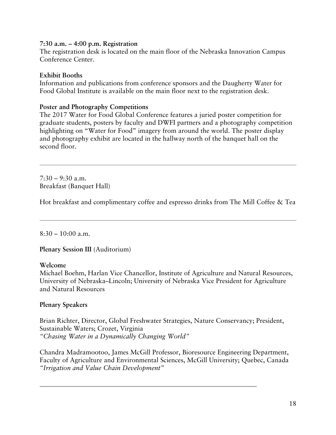### **7:30 a.m. – 4:00 p.m. Registration**

The registration desk is located on the main floor of the Nebraska Innovation Campus Conference Center.

### **Exhibit Booths**

Information and publications from conference sponsors and the Daugherty Water for Food Global Institute is available on the main floor next to the registration desk.

### **Poster and Photography Competitions**

The 2017 Water for Food Global Conference features a juried poster competition for graduate students, posters by faculty and DWFI partners and a photography competition highlighting on "Water for Food" imagery from around the world. The poster display and photography exhibit are located in the hallway north of the banquet hall on the second floor.

 $7:30 - 9:30$  a.m. Breakfast (Banquet Hall)

Hot breakfast and complimentary coffee and espresso drinks from The Mill Coffee & Tea

 $8:30 - 10:00$  a.m.

**Plenary Session III** (Auditorium)

### **Welcome**

Michael Boehm, Harlan Vice Chancellor, Institute of Agriculture and Natural Resources, University of Nebraska–Lincoln; University of Nebraska Vice President for Agriculture and Natural Resources

### **Plenary Speakers**

Brian Richter, Director, Global Freshwater Strategies, Nature Conservancy; President, Sustainable Waters; Crozet, Virginia *"Chasing Water in a Dynamically Changing World"*

Chandra Madramootoo, James McGill Professor, Bioresource Engineering Department, Faculty of Agriculture and Environmental Sciences, McGill University; Quebec, Canada *"Irrigation and Value Chain Development"*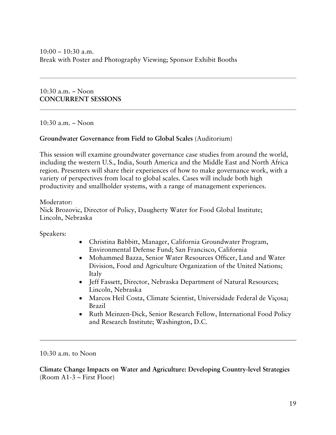10:30 a.m. – Noon **CONCURRENT SESSIONS**

10:30 a.m. – Noon

### **Groundwater Governance from Field to Global Scales** (Auditorium)

This session will examine groundwater governance case studies from around the world, including the western U.S., India, South America and the Middle East and North Africa region. Presenters will share their experiences of how to make governance work, with a variety of perspectives from local to global scales. Cases will include both high productivity and smallholder systems, with a range of management experiences.

Moderator:

Nick Brozovic, Director of Policy, Daugherty Water for Food Global Institute; Lincoln, Nebraska

Speakers:

- Christina Babbitt, Manager, California Groundwater Program, Environmental Defense Fund; San Francisco, California
- Mohammed Bazza, Senior Water Resources Officer, Land and Water Division, Food and Agriculture Organization of the United Nations; Italy
- Jeff Fassett, Director, Nebraska Department of Natural Resources; Lincoln, Nebraska
- Marcos Heil Costa, Climate Scientist, Universidade Federal de Viçosa; Brazil
- Ruth Meinzen-Dick, Senior Research Fellow, International Food Policy and Research Institute; Washington, D.C.

10:30 a.m. to Noon

**Climate Change Impacts on Water and Agriculture: Developing Country-level Strategies**  (Room A1-3 – First Floor)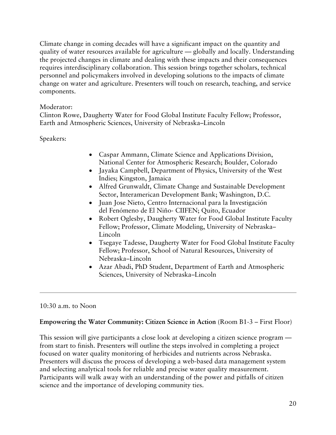Climate change in coming decades will have a significant impact on the quantity and quality of water resources available for agriculture — globally and locally. Understanding the projected changes in climate and dealing with these impacts and their consequences requires interdisciplinary collaboration. This session brings together scholars, technical personnel and policymakers involved in developing solutions to the impacts of climate change on water and agriculture. Presenters will touch on research, teaching, and service components.

### Moderator:

Clinton Rowe, Daugherty Water for Food Global Institute Faculty Fellow; Professor, Earth and Atmospheric Sciences, University of Nebraska–Lincoln

Speakers:

- Caspar Ammann, Climate Science and Applications Division, National Center for Atmospheric Research; Boulder, Colorado
- Jayaka Campbell, Department of Physics, University of the West Indies; Kingston, Jamaica
- Alfred Grunwaldt, Climate Change and Sustainable Development Sector, Interamerican Development Bank; Washington, D.C.
- Juan Jose Nieto, Centro Internacional para la Investigación del Fenómeno de El Niño- CIIFEN; Quito, Ecuador
- Robert Oglesby, Daugherty Water for Food Global Institute Faculty Fellow; Professor, Climate Modeling, University of Nebraska– Lincoln
- Tsegaye Tadesse, Daugherty Water for Food Global Institute Faculty Fellow; Professor, School of Natural Resources, University of Nebraska–Lincoln
- Azar Abadi, PhD Student, Department of Earth and Atmospheric Sciences, University of Nebraska–Lincoln

### 10:30 a.m. to Noon

### **Empowering the Water Community: Citizen Science in Action** (Room B1-3 – First Floor)

This session will give participants a close look at developing a citizen science program from start to finish. Presenters will outline the steps involved in completing a project focused on water quality monitoring of herbicides and nutrients across Nebraska. Presenters will discuss the process of developing a web-based data management system and selecting analytical tools for reliable and precise water quality measurement. Participants will walk away with an understanding of the power and pitfalls of citizen science and the importance of developing community ties.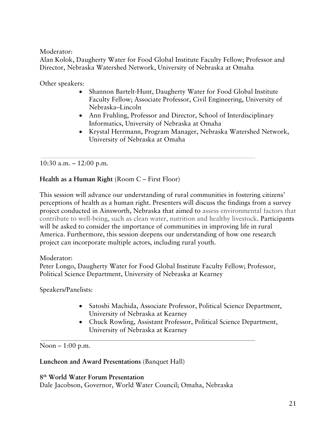Moderator:

Alan Kolok, Daugherty Water for Food Global Institute Faculty Fellow; Professor and Director, Nebraska Watershed Network, University of Nebraska at Omaha

Other speakers:

- Shannon Bartelt-Hunt, Daugherty Water for Food Global Institute Faculty Fellow; Associate Professor, Civil Engineering, University of Nebraska–Lincoln
- Ann Fruhling, Professor and Director, School of Interdisciplinary Informatics, University of Nebraska at Omaha
- Krystal Herrmann, Program Manager, Nebraska Watershed Network, University of Nebraska at Omaha

10:30 a.m. – 12:00 p.m.

### **Health as a Human Right** (Room C – First Floor)

This session will advance our understanding of rural communities in fostering citizens' perceptions of health as a human right. Presenters will discuss the findings from a survey project conducted in Ainsworth, Nebraska that aimed to assess environmental factors that contribute to well-being, such as clean water, nutrition and healthy livestock. Participants will be asked to consider the importance of communities in improving life in rural America. Furthermore, this session deepens our understanding of how one research project can incorporate multiple actors, including rural youth.

### Moderator:

Peter Longo, Daugherty Water for Food Global Institute Faculty Fellow; Professor, Political Science Department, University of Nebraska at Kearney

Speakers/Panelists:

- Satoshi Machida, Associate Professor, Political Science Department, University of Nebraska at Kearney
- Chuck Rowling, Assistant Professor, Political Science Department, University of Nebraska at Kearney

Noon – 1:00 p.m.

### **Luncheon and Award Presentations** (Banquet Hall)

**8th World Water Forum Presentation** Dale Jacobson, Governor, World Water Council; Omaha, Nebraska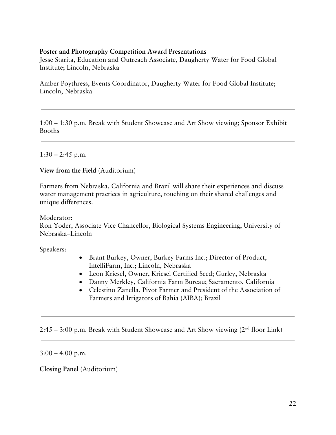#### **Poster and Photography Competition Award Presentations**

Jesse Starita, Education and Outreach Associate, Daugherty Water for Food Global Institute; Lincoln, Nebraska

Amber Poythress, Events Coordinator, Daugherty Water for Food Global Institute; Lincoln, Nebraska

1:00 – 1:30 p.m. Break with Student Showcase and Art Show viewing; Sponsor Exhibit Booths

 $1:30 - 2:45$  p.m.

**View from the Field** (Auditorium)

Farmers from Nebraska, California and Brazil will share their experiences and discuss water management practices in agriculture, touching on their shared challenges and unique differences.

Moderator: Ron Yoder, Associate Vice Chancellor, Biological Systems Engineering, University of Nebraska–Lincoln

Speakers:

- Brant Burkey, Owner, Burkey Farms Inc.; Director of Product, IntelliFarm, Inc.; Lincoln, Nebraska
- Leon Kriesel, Owner, Kriesel Certified Seed; Gurley, Nebraska
- Danny Merkley, California Farm Bureau; Sacramento, California
- Celestino Zanella, Pivot Farmer and President of the Association of Farmers and Irrigators of Bahia (AIBA); Brazil

2:45 – 3:00 p.m. Break with Student Showcase and Art Show viewing  $(2<sup>nd</sup>$  floor Link)

 $3:00 - 4:00$  p.m.

**Closing Panel** (Auditorium)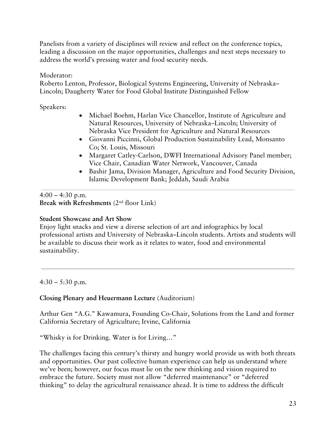Panelists from a variety of disciplines will review and reflect on the conference topics, leading a discussion on the major opportunities, challenges and next steps necessary to address the world's pressing water and food security needs.

Moderator:

Roberto Lenton, Professor, Biological Systems Engineering, University of Nebraska– Lincoln; Daugherty Water for Food Global Institute Distinguished Fellow

Speakers:

- Michael Boehm, Harlan Vice Chancellor, Institute of Agriculture and Natural Resources, University of Nebraska–Lincoln; University of Nebraska Vice President for Agriculture and Natural Resources
- Giovanni Piccinni, Global Production Sustainability Lead, Monsanto Co; St. Louis, Missouri
- Margaret Catley-Carlson, DWFI International Advisory Panel member; Vice Chair, Canadian Water Network, Vancouver, Canada
- Bashir Jama, Division Manager, Agriculture and Food Security Division, Islamic Development Bank; Jeddah, Saudi Arabia

 $4:00 - 4:30$  p.m. **Break with Refreshments** (2nd floor Link)

# **Student Showcase and Art Show**

Enjoy light snacks and view a diverse selection of art and infographics by local professional artists and University of Nebraska–Lincoln students. Artists and students will be available to discuss their work as it relates to water, food and environmental sustainability.

 $4:30 - 5:30$  p.m.

# **Closing Plenary and Heuermann Lecture** (Auditorium)

Arthur Gen "A.G." Kawamura, Founding Co-Chair, Solutions from the Land and former California Secretary of Agriculture; Irvine, California

"Whisky is for Drinking. Water is for Living…"

The challenges facing this century's thirsty and hungry world provide us with both threats and opportunities. Our past collective human experience can help us understand where we've been; however, our focus must lie on the new thinking and vision required to embrace the future. Society must not allow "deferred maintenance" or "deferred thinking" to delay the agricultural renaissance ahead. It is time to address the difficult